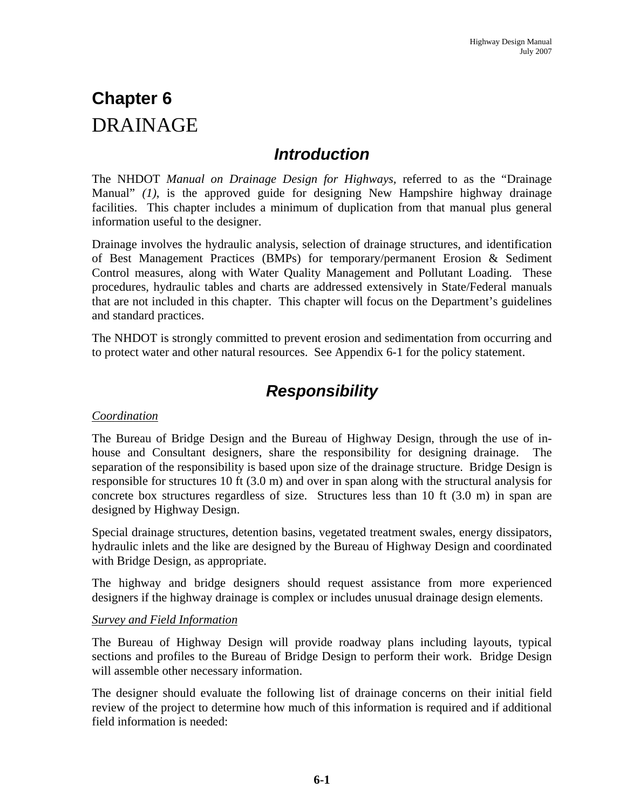# **Chapter 6**  DRAINAGE

### *Introduction*

The NHDOT *Manual on Drainage Design for Highways,* referred to as the "Drainage Manual" *(1)*, is the approved guide for designing New Hampshire highway drainage facilities. This chapter includes a minimum of duplication from that manual plus general information useful to the designer.

Drainage involves the hydraulic analysis, selection of drainage structures, and identification of Best Management Practices (BMPs) for temporary/permanent Erosion & Sediment Control measures, along with Water Quality Management and Pollutant Loading. These procedures, hydraulic tables and charts are addressed extensively in State/Federal manuals that are not included in this chapter. This chapter will focus on the Department's guidelines and standard practices.

The NHDOT is strongly committed to prevent erosion and sedimentation from occurring and to protect water and other natural resources. See Appendix 6-1 for the policy statement.

## *Responsibility*

#### *Coordination*

The Bureau of Bridge Design and the Bureau of Highway Design, through the use of inhouse and Consultant designers, share the responsibility for designing drainage. separation of the responsibility is based upon size of the drainage structure. Bridge Design is responsible for structures 10 ft (3.0 m) and over in span along with the structural analysis for concrete box structures regardless of size. Structures less than 10 ft (3.0 m) in span are designed by Highway Design.

Special drainage structures, detention basins, vegetated treatment swales, energy dissipators, hydraulic inlets and the like are designed by the Bureau of Highway Design and coordinated with Bridge Design, as appropriate.

The highway and bridge designers should request assistance from more experienced designers if the highway drainage is complex or includes unusual drainage design elements.

#### *Survey and Field Information*

The Bureau of Highway Design will provide roadway plans including layouts, typical sections and profiles to the Bureau of Bridge Design to perform their work. Bridge Design will assemble other necessary information.

The designer should evaluate the following list of drainage concerns on their initial field review of the project to determine how much of this information is required and if additional field information is needed: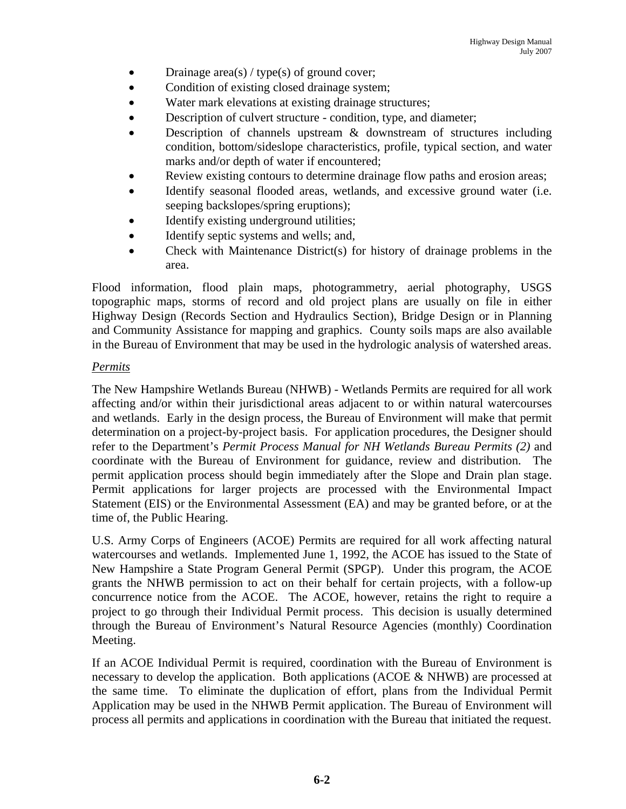- Drainage area(s) / type(s) of ground cover;
- Condition of existing closed drainage system;
- Water mark elevations at existing drainage structures;
- Description of culvert structure condition, type, and diameter;
- Description of channels upstream  $\&$  downstream of structures including condition, bottom/sideslope characteristics, profile, typical section, and water marks and/or depth of water if encountered;
- Review existing contours to determine drainage flow paths and erosion areas;
- Identify seasonal flooded areas, wetlands, and excessive ground water (i.e. seeping backslopes/spring eruptions);
- Identify existing underground utilities;
- Identify septic systems and wells; and,
- Check with Maintenance District(s) for history of drainage problems in the area.

Flood information, flood plain maps, photogrammetry, aerial photography, USGS topographic maps, storms of record and old project plans are usually on file in either Highway Design (Records Section and Hydraulics Section), Bridge Design or in Planning and Community Assistance for mapping and graphics. County soils maps are also available in the Bureau of Environment that may be used in the hydrologic analysis of watershed areas.

#### *Permits*

The New Hampshire Wetlands Bureau (NHWB) - Wetlands Permits are required for all work affecting and/or within their jurisdictional areas adjacent to or within natural watercourses and wetlands. Early in the design process, the Bureau of Environment will make that permit determination on a project-by-project basis. For application procedures, the Designer should refer to the Department's *Permit Process Manual for NH Wetlands Bureau Permits (2)* and coordinate with the Bureau of Environment for guidance, review and distribution. The permit application process should begin immediately after the Slope and Drain plan stage. Permit applications for larger projects are processed with the Environmental Impact Statement (EIS) or the Environmental Assessment (EA) and may be granted before, or at the time of, the Public Hearing.

U.S. Army Corps of Engineers (ACOE) Permits are required for all work affecting natural watercourses and wetlands. Implemented June 1, 1992, the ACOE has issued to the State of New Hampshire a State Program General Permit (SPGP). Under this program, the ACOE grants the NHWB permission to act on their behalf for certain projects, with a follow-up concurrence notice from the ACOE. The ACOE, however, retains the right to require a project to go through their Individual Permit process. This decision is usually determined through the Bureau of Environment's Natural Resource Agencies (monthly) Coordination Meeting.

If an ACOE Individual Permit is required, coordination with the Bureau of Environment is necessary to develop the application. Both applications  $(ACOE & NHWB)$  are processed at the same time. To eliminate the duplication of effort, plans from the Individual Permit Application may be used in the NHWB Permit application. The Bureau of Environment will process all permits and applications in coordination with the Bureau that initiated the request.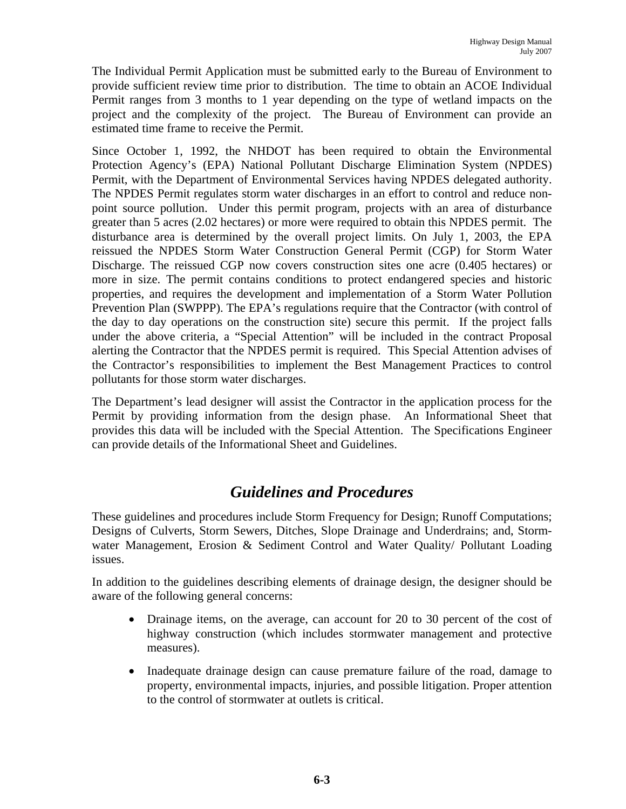The Individual Permit Application must be submitted early to the Bureau of Environment to provide sufficient review time prior to distribution. The time to obtain an ACOE Individual Permit ranges from 3 months to 1 year depending on the type of wetland impacts on the project and the complexity of the project. The Bureau of Environment can provide an estimated time frame to receive the Permit.

Since October 1, 1992, the NHDOT has been required to obtain the Environmental Protection Agency's (EPA) National Pollutant Discharge Elimination System (NPDES) Permit, with the Department of Environmental Services having NPDES delegated authority. The NPDES Permit regulates storm water discharges in an effort to control and reduce nonpoint source pollution. Under this permit program, projects with an area of disturbance greater than 5 acres (2.02 hectares) or more were required to obtain this NPDES permit. The disturbance area is determined by the overall project limits. On July 1, 2003, the EPA reissued the NPDES Storm Water Construction General Permit (CGP) for Storm Water Discharge. The reissued CGP now covers construction sites one acre (0.405 hectares) or more in size. The permit contains conditions to protect endangered species and historic properties, and requires the development and implementation of a Storm Water Pollution Prevention Plan (SWPPP). The EPA's regulations require that the Contractor (with control of the day to day operations on the construction site) secure this permit. If the project falls under the above criteria, a "Special Attention" will be included in the contract Proposal alerting the Contractor that the NPDES permit is required. This Special Attention advises of the Contractor's responsibilities to implement the Best Management Practices to control pollutants for those storm water discharges.

The Department's lead designer will assist the Contractor in the application process for the Permit by providing information from the design phase. An Informational Sheet that provides this data will be included with the Special Attention. The Specifications Engineer can provide details of the Informational Sheet and Guidelines.

### *Guidelines and Procedures*

These guidelines and procedures include Storm Frequency for Design; Runoff Computations; Designs of Culverts, Storm Sewers, Ditches, Slope Drainage and Underdrains; and, Stormwater Management, Erosion & Sediment Control and Water Quality/ Pollutant Loading issues.

In addition to the guidelines describing elements of drainage design, the designer should be aware of the following general concerns:

- Drainage items, on the average, can account for 20 to 30 percent of the cost of highway construction (which includes stormwater management and protective measures).
- Inadequate drainage design can cause premature failure of the road, damage to property, environmental impacts, injuries, and possible litigation. Proper attention to the control of stormwater at outlets is critical.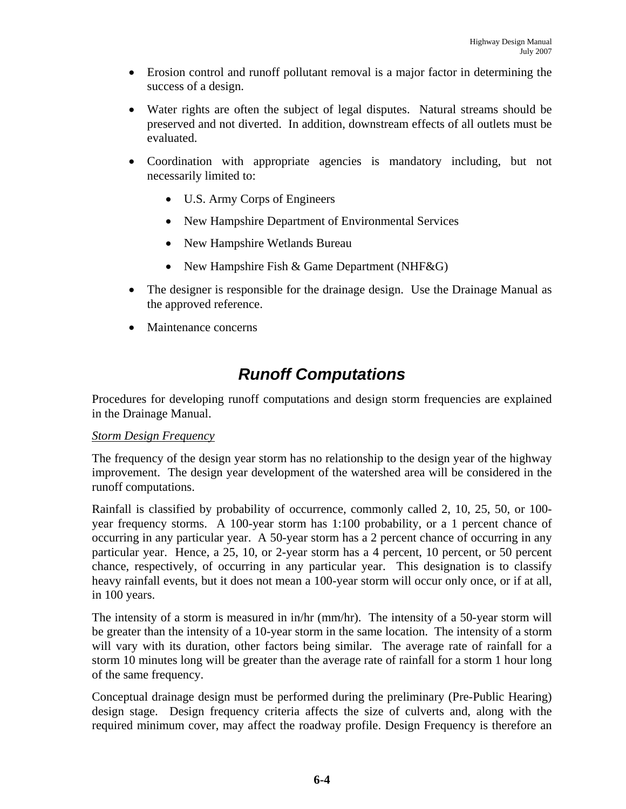- Erosion control and runoff pollutant removal is a major factor in determining the success of a design.
- Water rights are often the subject of legal disputes. Natural streams should be preserved and not diverted. In addition, downstream effects of all outlets must be evaluated.
- Coordination with appropriate agencies is mandatory including, but not necessarily limited to:
	- U.S. Army Corps of Engineers
	- New Hampshire Department of Environmental Services
	- New Hampshire Wetlands Bureau
	- New Hampshire Fish & Game Department (NHF&G)
- The designer is responsible for the drainage design. Use the Drainage Manual as the approved reference.
- Maintenance concerns

# *Runoff Computations*

Procedures for developing runoff computations and design storm frequencies are explained in the Drainage Manual.

#### *Storm Design Frequency*

The frequency of the design year storm has no relationship to the design year of the highway improvement. The design year development of the watershed area will be considered in the runoff computations.

Rainfall is classified by probability of occurrence, commonly called 2, 10, 25, 50, or 100 year frequency storms. A 100-year storm has 1:100 probability, or a 1 percent chance of occurring in any particular year. A 50-year storm has a 2 percent chance of occurring in any particular year. Hence, a 25, 10, or 2-year storm has a 4 percent, 10 percent, or 50 percent chance, respectively, of occurring in any particular year. This designation is to classify heavy rainfall events, but it does not mean a 100-year storm will occur only once, or if at all, in 100 years.

The intensity of a storm is measured in in/hr (mm/hr). The intensity of a 50-year storm will be greater than the intensity of a 10-year storm in the same location. The intensity of a storm will vary with its duration, other factors being similar. The average rate of rainfall for a storm 10 minutes long will be greater than the average rate of rainfall for a storm 1 hour long of the same frequency.

Conceptual drainage design must be performed during the preliminary (Pre-Public Hearing) design stage. Design frequency criteria affects the size of culverts and, along with the required minimum cover, may affect the roadway profile. Design Frequency is therefore an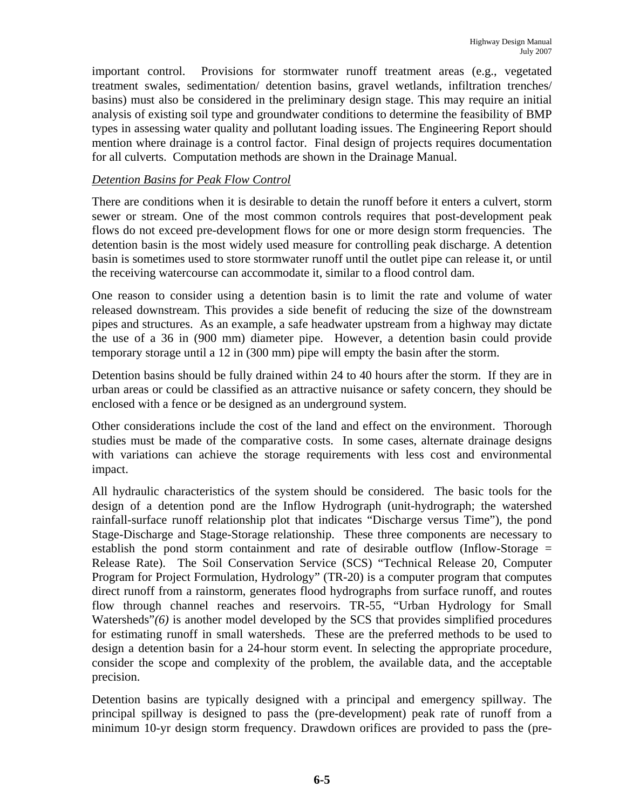important control. Provisions for stormwater runoff treatment areas (e.g., vegetated treatment swales, sedimentation/ detention basins, gravel wetlands, infiltration trenches/ basins) must also be considered in the preliminary design stage. This may require an initial analysis of existing soil type and groundwater conditions to determine the feasibility of BMP types in assessing water quality and pollutant loading issues. The Engineering Report should mention where drainage is a control factor. Final design of projects requires documentation for all culverts. Computation methods are shown in the Drainage Manual.

#### *Detention Basins for Peak Flow Control*

There are conditions when it is desirable to detain the runoff before it enters a culvert, storm sewer or stream. One of the most common controls requires that post-development peak flows do not exceed pre-development flows for one or more design storm frequencies. The detention basin is the most widely used measure for controlling peak discharge. A detention basin is sometimes used to store stormwater runoff until the outlet pipe can release it, or until the receiving watercourse can accommodate it, similar to a flood control dam.

One reason to consider using a detention basin is to limit the rate and volume of water released downstream. This provides a side benefit of reducing the size of the downstream pipes and structures. As an example, a safe headwater upstream from a highway may dictate the use of a 36 in (900 mm) diameter pipe. However, a detention basin could provide temporary storage until a 12 in (300 mm) pipe will empty the basin after the storm.

Detention basins should be fully drained within 24 to 40 hours after the storm. If they are in urban areas or could be classified as an attractive nuisance or safety concern, they should be enclosed with a fence or be designed as an underground system.

Other considerations include the cost of the land and effect on the environment. Thorough studies must be made of the comparative costs. In some cases, alternate drainage designs with variations can achieve the storage requirements with less cost and environmental impact.

All hydraulic characteristics of the system should be considered. The basic tools for the design of a detention pond are the Inflow Hydrograph (unit-hydrograph; the watershed rainfall-surface runoff relationship plot that indicates "Discharge versus Time"), the pond Stage-Discharge and Stage-Storage relationship. These three components are necessary to establish the pond storm containment and rate of desirable outflow (Inflow-Storage = Release Rate). The Soil Conservation Service (SCS) "Technical Release 20, Computer Program for Project Formulation, Hydrology" (TR-20) is a computer program that computes direct runoff from a rainstorm, generates flood hydrographs from surface runoff, and routes flow through channel reaches and reservoirs. TR-55, "Urban Hydrology for Small Watersheds"*(6)* is another model developed by the SCS that provides simplified procedures for estimating runoff in small watersheds. These are the preferred methods to be used to design a detention basin for a 24-hour storm event. In selecting the appropriate procedure, consider the scope and complexity of the problem, the available data, and the acceptable precision.

Detention basins are typically designed with a principal and emergency spillway. The principal spillway is designed to pass the (pre-development) peak rate of runoff from a minimum 10-yr design storm frequency. Drawdown orifices are provided to pass the (pre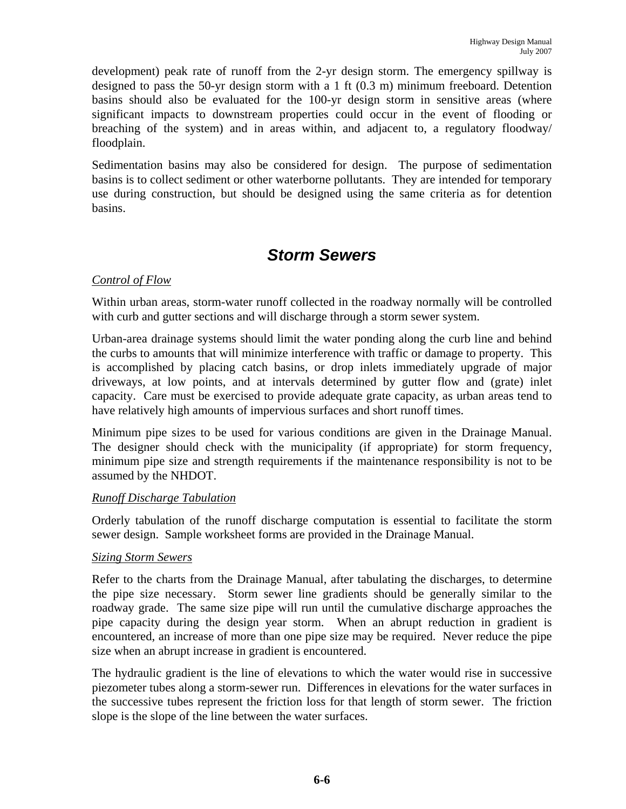development) peak rate of runoff from the 2-yr design storm. The emergency spillway is designed to pass the 50-yr design storm with a 1 ft (0.3 m) minimum freeboard. Detention basins should also be evaluated for the 100-yr design storm in sensitive areas (where significant impacts to downstream properties could occur in the event of flooding or breaching of the system) and in areas within, and adjacent to, a regulatory floodway/ floodplain.

Sedimentation basins may also be considered for design. The purpose of sedimentation basins is to collect sediment or other waterborne pollutants. They are intended for temporary use during construction, but should be designed using the same criteria as for detention basins.

### *Storm Sewers*

#### *Control of Flow*

Within urban areas, storm-water runoff collected in the roadway normally will be controlled with curb and gutter sections and will discharge through a storm sewer system.

Urban-area drainage systems should limit the water ponding along the curb line and behind the curbs to amounts that will minimize interference with traffic or damage to property. This is accomplished by placing catch basins, or drop inlets immediately upgrade of major driveways, at low points, and at intervals determined by gutter flow and (grate) inlet capacity. Care must be exercised to provide adequate grate capacity, as urban areas tend to have relatively high amounts of impervious surfaces and short runoff times.

Minimum pipe sizes to be used for various conditions are given in the Drainage Manual. The designer should check with the municipality (if appropriate) for storm frequency, minimum pipe size and strength requirements if the maintenance responsibility is not to be assumed by the NHDOT.

#### *Runoff Discharge Tabulation*

Orderly tabulation of the runoff discharge computation is essential to facilitate the storm sewer design. Sample worksheet forms are provided in the Drainage Manual.

#### *Sizing Storm Sewers*

Refer to the charts from the Drainage Manual, after tabulating the discharges, to determine the pipe size necessary. Storm sewer line gradients should be generally similar to the roadway grade. The same size pipe will run until the cumulative discharge approaches the pipe capacity during the design year storm. When an abrupt reduction in gradient is encountered, an increase of more than one pipe size may be required. Never reduce the pipe size when an abrupt increase in gradient is encountered.

The hydraulic gradient is the line of elevations to which the water would rise in successive piezometer tubes along a storm-sewer run. Differences in elevations for the water surfaces in the successive tubes represent the friction loss for that length of storm sewer. The friction slope is the slope of the line between the water surfaces.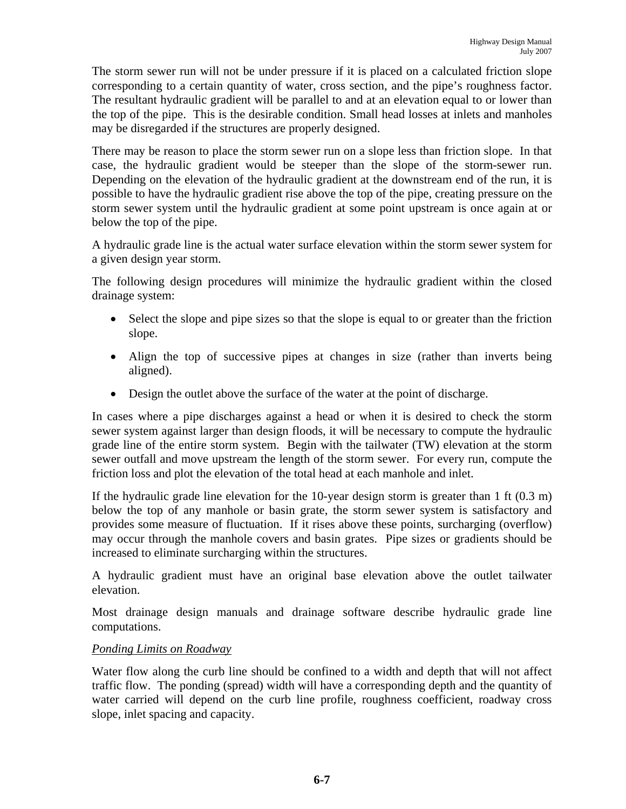The storm sewer run will not be under pressure if it is placed on a calculated friction slope corresponding to a certain quantity of water, cross section, and the pipe's roughness factor. The resultant hydraulic gradient will be parallel to and at an elevation equal to or lower than the top of the pipe. This is the desirable condition. Small head losses at inlets and manholes may be disregarded if the structures are properly designed.

There may be reason to place the storm sewer run on a slope less than friction slope. In that case, the hydraulic gradient would be steeper than the slope of the storm-sewer run. Depending on the elevation of the hydraulic gradient at the downstream end of the run, it is possible to have the hydraulic gradient rise above the top of the pipe, creating pressure on the storm sewer system until the hydraulic gradient at some point upstream is once again at or below the top of the pipe.

A hydraulic grade line is the actual water surface elevation within the storm sewer system for a given design year storm.

The following design procedures will minimize the hydraulic gradient within the closed drainage system:

- Select the slope and pipe sizes so that the slope is equal to or greater than the friction slope.
- Align the top of successive pipes at changes in size (rather than inverts being aligned).
- Design the outlet above the surface of the water at the point of discharge.

In cases where a pipe discharges against a head or when it is desired to check the storm sewer system against larger than design floods, it will be necessary to compute the hydraulic grade line of the entire storm system. Begin with the tailwater (TW) elevation at the storm sewer outfall and move upstream the length of the storm sewer. For every run, compute the friction loss and plot the elevation of the total head at each manhole and inlet.

If the hydraulic grade line elevation for the 10-year design storm is greater than  $1 \text{ ft } (0.3 \text{ m})$ below the top of any manhole or basin grate, the storm sewer system is satisfactory and provides some measure of fluctuation. If it rises above these points, surcharging (overflow) may occur through the manhole covers and basin grates. Pipe sizes or gradients should be increased to eliminate surcharging within the structures.

A hydraulic gradient must have an original base elevation above the outlet tailwater elevation.

Most drainage design manuals and drainage software describe hydraulic grade line computations.

#### *Ponding Limits on Roadway*

Water flow along the curb line should be confined to a width and depth that will not affect traffic flow. The ponding (spread) width will have a corresponding depth and the quantity of water carried will depend on the curb line profile, roughness coefficient, roadway cross slope, inlet spacing and capacity.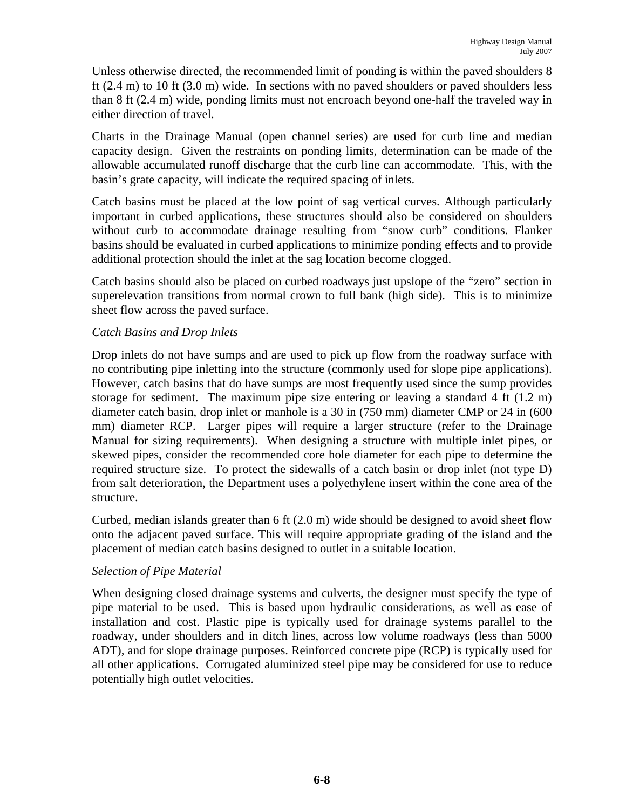Unless otherwise directed, the recommended limit of ponding is within the paved shoulders 8 ft (2.4 m) to 10 ft (3.0 m) wide. In sections with no paved shoulders or paved shoulders less than 8 ft (2.4 m) wide, ponding limits must not encroach beyond one-half the traveled way in either direction of travel.

Charts in the Drainage Manual (open channel series) are used for curb line and median capacity design. Given the restraints on ponding limits, determination can be made of the allowable accumulated runoff discharge that the curb line can accommodate. This, with the basin's grate capacity, will indicate the required spacing of inlets.

Catch basins must be placed at the low point of sag vertical curves. Although particularly important in curbed applications, these structures should also be considered on shoulders without curb to accommodate drainage resulting from "snow curb" conditions. Flanker basins should be evaluated in curbed applications to minimize ponding effects and to provide additional protection should the inlet at the sag location become clogged.

Catch basins should also be placed on curbed roadways just upslope of the "zero" section in superelevation transitions from normal crown to full bank (high side). This is to minimize sheet flow across the paved surface.

#### *Catch Basins and Drop Inlets*

Drop inlets do not have sumps and are used to pick up flow from the roadway surface with no contributing pipe inletting into the structure (commonly used for slope pipe applications). However, catch basins that do have sumps are most frequently used since the sump provides storage for sediment. The maximum pipe size entering or leaving a standard 4 ft (1.2 m) diameter catch basin, drop inlet or manhole is a 30 in (750 mm) diameter CMP or 24 in (600 mm) diameter RCP. Larger pipes will require a larger structure (refer to the Drainage Manual for sizing requirements). When designing a structure with multiple inlet pipes, or skewed pipes, consider the recommended core hole diameter for each pipe to determine the required structure size. To protect the sidewalls of a catch basin or drop inlet (not type D) from salt deterioration, the Department uses a polyethylene insert within the cone area of the structure.

Curbed, median islands greater than 6 ft (2.0 m) wide should be designed to avoid sheet flow onto the adjacent paved surface. This will require appropriate grading of the island and the placement of median catch basins designed to outlet in a suitable location.

#### *Selection of Pipe Material*

When designing closed drainage systems and culverts, the designer must specify the type of pipe material to be used. This is based upon hydraulic considerations, as well as ease of installation and cost. Plastic pipe is typically used for drainage systems parallel to the roadway, under shoulders and in ditch lines, across low volume roadways (less than 5000 ADT), and for slope drainage purposes. Reinforced concrete pipe (RCP) is typically used for all other applications. Corrugated aluminized steel pipe may be considered for use to reduce potentially high outlet velocities.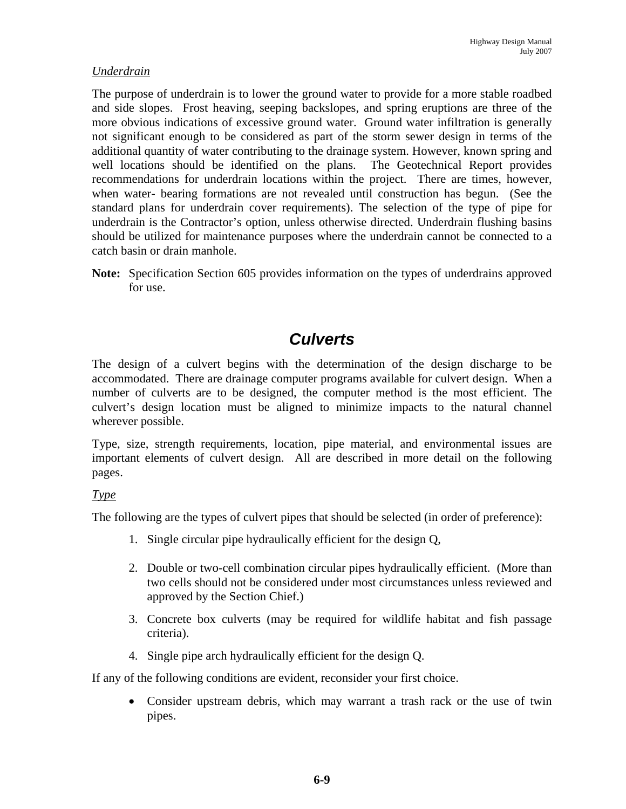#### *Underdrain*

The purpose of underdrain is to lower the ground water to provide for a more stable roadbed and side slopes. Frost heaving, seeping backslopes, and spring eruptions are three of the more obvious indications of excessive ground water. Ground water infiltration is generally not significant enough to be considered as part of the storm sewer design in terms of the additional quantity of water contributing to the drainage system. However, known spring and well locations should be identified on the plans. The Geotechnical Report provides recommendations for underdrain locations within the project. There are times, however, when water- bearing formations are not revealed until construction has begun. (See the standard plans for underdrain cover requirements). The selection of the type of pipe for underdrain is the Contractor's option, unless otherwise directed. Underdrain flushing basins should be utilized for maintenance purposes where the underdrain cannot be connected to a catch basin or drain manhole.

**Note:** Specification Section 605 provides information on the types of underdrains approved for use.

### *Culverts*

The design of a culvert begins with the determination of the design discharge to be accommodated. There are drainage computer programs available for culvert design. When a number of culverts are to be designed, the computer method is the most efficient. The culvert's design location must be aligned to minimize impacts to the natural channel wherever possible.

Type, size, strength requirements, location, pipe material, and environmental issues are important elements of culvert design. All are described in more detail on the following pages.

#### *Type*

The following are the types of culvert pipes that should be selected (in order of preference):

- 1. Single circular pipe hydraulically efficient for the design Q,
- 2. Double or two-cell combination circular pipes hydraulically efficient. (More than two cells should not be considered under most circumstances unless reviewed and approved by the Section Chief.)
- 3. Concrete box culverts (may be required for wildlife habitat and fish passage criteria).
- 4. Single pipe arch hydraulically efficient for the design Q.

If any of the following conditions are evident, reconsider your first choice.

• Consider upstream debris, which may warrant a trash rack or the use of twin pipes.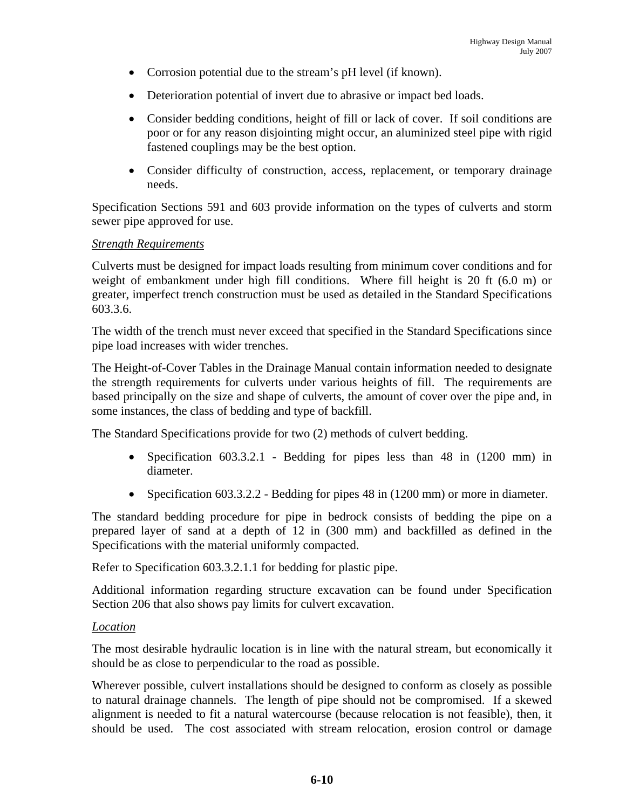- Corrosion potential due to the stream's pH level (if known).
- Deterioration potential of invert due to abrasive or impact bed loads.
- Consider bedding conditions, height of fill or lack of cover. If soil conditions are poor or for any reason disjointing might occur, an aluminized steel pipe with rigid fastened couplings may be the best option.
- Consider difficulty of construction, access, replacement, or temporary drainage needs.

Specification Sections 591 and 603 provide information on the types of culverts and storm sewer pipe approved for use.

#### *Strength Requirements*

Culverts must be designed for impact loads resulting from minimum cover conditions and for weight of embankment under high fill conditions. Where fill height is 20 ft (6.0 m) or greater, imperfect trench construction must be used as detailed in the Standard Specifications 603.3.6.

The width of the trench must never exceed that specified in the Standard Specifications since pipe load increases with wider trenches.

The Height-of-Cover Tables in the Drainage Manual contain information needed to designate the strength requirements for culverts under various heights of fill. The requirements are based principally on the size and shape of culverts, the amount of cover over the pipe and, in some instances, the class of bedding and type of backfill.

The Standard Specifications provide for two (2) methods of culvert bedding.

- Specification 603.3.2.1 Bedding for pipes less than 48 in (1200 mm) in diameter.
- Specification 603.3.2.2 Bedding for pipes 48 in (1200 mm) or more in diameter.

The standard bedding procedure for pipe in bedrock consists of bedding the pipe on a prepared layer of sand at a depth of 12 in (300 mm) and backfilled as defined in the Specifications with the material uniformly compacted.

Refer to Specification 603.3.2.1.1 for bedding for plastic pipe.

Additional information regarding structure excavation can be found under Specification Section 206 that also shows pay limits for culvert excavation.

#### *Location*

The most desirable hydraulic location is in line with the natural stream, but economically it should be as close to perpendicular to the road as possible.

Wherever possible, culvert installations should be designed to conform as closely as possible to natural drainage channels. The length of pipe should not be compromised. If a skewed alignment is needed to fit a natural watercourse (because relocation is not feasible), then, it should be used. The cost associated with stream relocation, erosion control or damage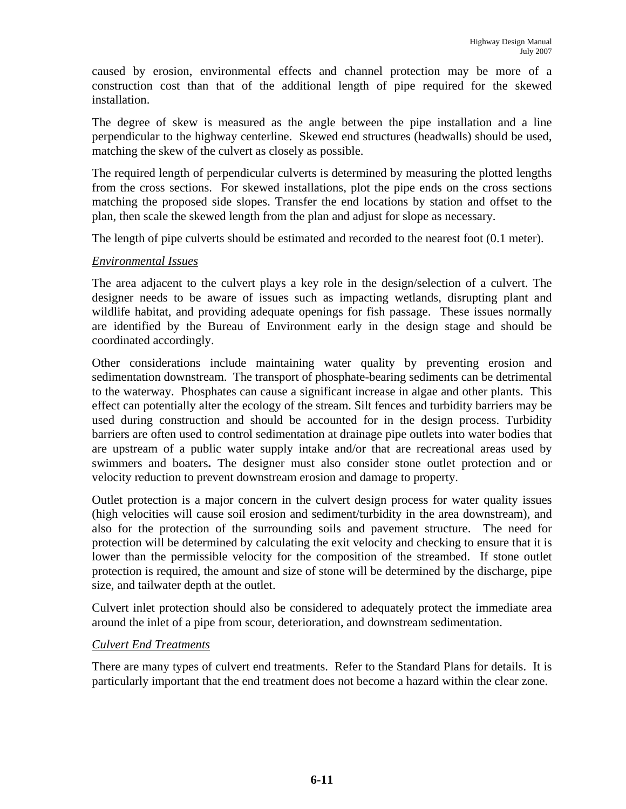caused by erosion, environmental effects and channel protection may be more of a construction cost than that of the additional length of pipe required for the skewed installation.

The degree of skew is measured as the angle between the pipe installation and a line perpendicular to the highway centerline. Skewed end structures (headwalls) should be used, matching the skew of the culvert as closely as possible.

The required length of perpendicular culverts is determined by measuring the plotted lengths from the cross sections. For skewed installations, plot the pipe ends on the cross sections matching the proposed side slopes. Transfer the end locations by station and offset to the plan, then scale the skewed length from the plan and adjust for slope as necessary.

The length of pipe culverts should be estimated and recorded to the nearest foot (0.1 meter).

#### *Environmental Issues*

The area adjacent to the culvert plays a key role in the design/selection of a culvert. The designer needs to be aware of issues such as impacting wetlands, disrupting plant and wildlife habitat, and providing adequate openings for fish passage. These issues normally are identified by the Bureau of Environment early in the design stage and should be coordinated accordingly.

Other considerations include maintaining water quality by preventing erosion and sedimentation downstream. The transport of phosphate-bearing sediments can be detrimental to the waterway. Phosphates can cause a significant increase in algae and other plants. This effect can potentially alter the ecology of the stream. Silt fences and turbidity barriers may be used during construction and should be accounted for in the design process. Turbidity barriers are often used to control sedimentation at drainage pipe outlets into water bodies that are upstream of a public water supply intake and/or that are recreational areas used by swimmers and boaters**.** The designer must also consider stone outlet protection and or velocity reduction to prevent downstream erosion and damage to property.

Outlet protection is a major concern in the culvert design process for water quality issues (high velocities will cause soil erosion and sediment/turbidity in the area downstream), and also for the protection of the surrounding soils and pavement structure. The need for protection will be determined by calculating the exit velocity and checking to ensure that it is lower than the permissible velocity for the composition of the streambed. If stone outlet protection is required, the amount and size of stone will be determined by the discharge, pipe size, and tailwater depth at the outlet.

Culvert inlet protection should also be considered to adequately protect the immediate area around the inlet of a pipe from scour, deterioration, and downstream sedimentation.

#### *Culvert End Treatments*

There are many types of culvert end treatments. Refer to the Standard Plans for details. It is particularly important that the end treatment does not become a hazard within the clear zone.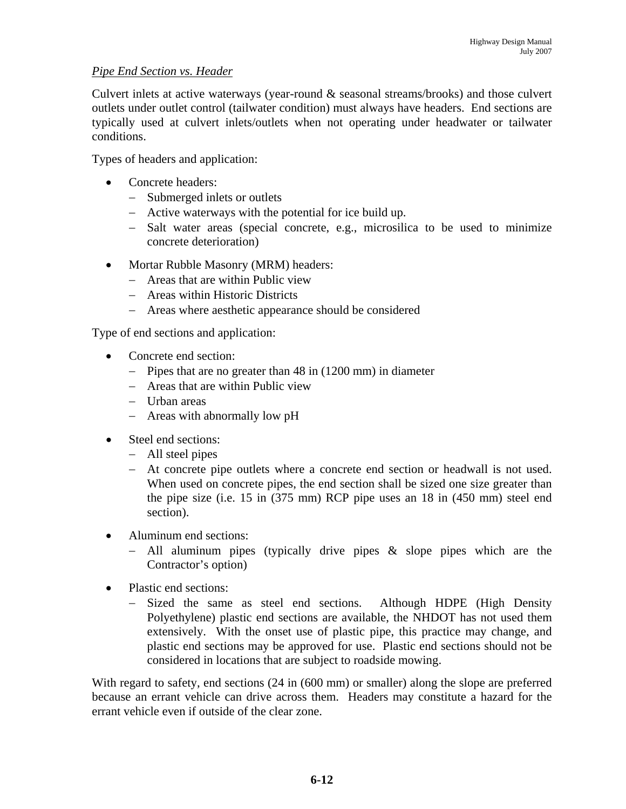#### *Pipe End Section vs. Header*

Culvert inlets at active waterways (year-round & seasonal streams/brooks) and those culvert outlets under outlet control (tailwater condition) must always have headers. End sections are typically used at culvert inlets/outlets when not operating under headwater or tailwater conditions.

Types of headers and application:

- Concrete headers:
	- − Submerged inlets or outlets
	- − Active waterways with the potential for ice build up.
	- − Salt water areas (special concrete, e.g., microsilica to be used to minimize concrete deterioration)
- Mortar Rubble Masonry (MRM) headers:
	- − Areas that are within Public view
	- − Areas within Historic Districts
	- − Areas where aesthetic appearance should be considered

Type of end sections and application:

- Concrete end section:
	- − Pipes that are no greater than 48 in (1200 mm) in diameter
	- − Areas that are within Public view
	- − Urban areas
	- − Areas with abnormally low pH
- Steel end sections:
	- − All steel pipes
	- − At concrete pipe outlets where a concrete end section or headwall is not used. When used on concrete pipes, the end section shall be sized one size greater than the pipe size (i.e. 15 in (375 mm) RCP pipe uses an 18 in (450 mm) steel end section).
- Aluminum end sections:
	- − All aluminum pipes (typically drive pipes & slope pipes which are the Contractor's option)
- Plastic end sections:
	- − Sized the same as steel end sections. Although HDPE (High Density Polyethylene) plastic end sections are available, the NHDOT has not used them extensively. With the onset use of plastic pipe, this practice may change, and plastic end sections may be approved for use. Plastic end sections should not be considered in locations that are subject to roadside mowing.

With regard to safety, end sections (24 in (600 mm) or smaller) along the slope are preferred because an errant vehicle can drive across them. Headers may constitute a hazard for the errant vehicle even if outside of the clear zone.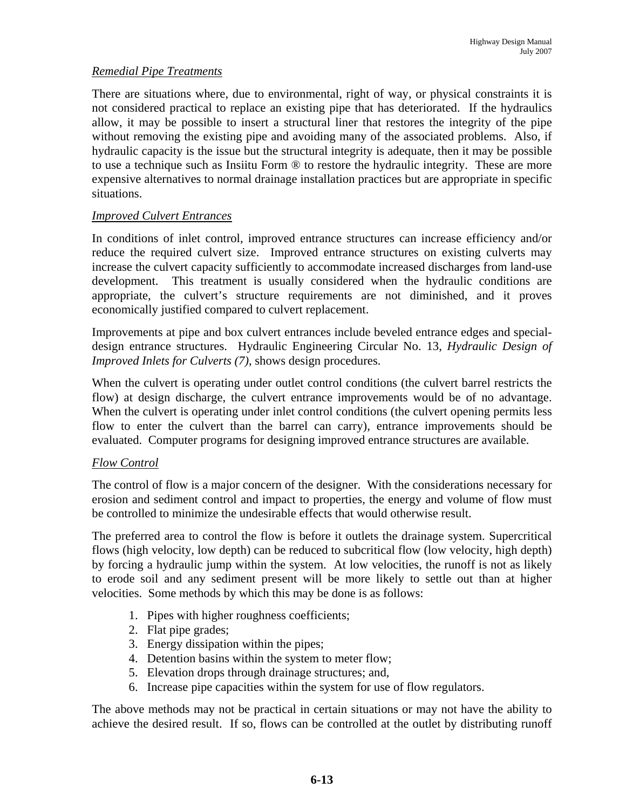#### *Remedial Pipe Treatments*

There are situations where, due to environmental, right of way, or physical constraints it is not considered practical to replace an existing pipe that has deteriorated. If the hydraulics allow, it may be possible to insert a structural liner that restores the integrity of the pipe without removing the existing pipe and avoiding many of the associated problems. Also, if hydraulic capacity is the issue but the structural integrity is adequate, then it may be possible to use a technique such as Insiitu Form ® to restore the hydraulic integrity. These are more expensive alternatives to normal drainage installation practices but are appropriate in specific situations.

#### *Improved Culvert Entrances*

In conditions of inlet control, improved entrance structures can increase efficiency and/or reduce the required culvert size. Improved entrance structures on existing culverts may increase the culvert capacity sufficiently to accommodate increased discharges from land-use development. This treatment is usually considered when the hydraulic conditions are appropriate, the culvert's structure requirements are not diminished, and it proves economically justified compared to culvert replacement.

Improvements at pipe and box culvert entrances include beveled entrance edges and specialdesign entrance structures. Hydraulic Engineering Circular No. 13, *Hydraulic Design of Improved Inlets for Culverts (7)*, shows design procedures.

When the culvert is operating under outlet control conditions (the culvert barrel restricts the flow) at design discharge, the culvert entrance improvements would be of no advantage. When the culvert is operating under inlet control conditions (the culvert opening permits less flow to enter the culvert than the barrel can carry), entrance improvements should be evaluated. Computer programs for designing improved entrance structures are available.

#### *Flow Control*

The control of flow is a major concern of the designer. With the considerations necessary for erosion and sediment control and impact to properties, the energy and volume of flow must be controlled to minimize the undesirable effects that would otherwise result.

The preferred area to control the flow is before it outlets the drainage system. Supercritical flows (high velocity, low depth) can be reduced to subcritical flow (low velocity, high depth) by forcing a hydraulic jump within the system. At low velocities, the runoff is not as likely to erode soil and any sediment present will be more likely to settle out than at higher velocities. Some methods by which this may be done is as follows:

- 1. Pipes with higher roughness coefficients;
- 2. Flat pipe grades;
- 3. Energy dissipation within the pipes;
- 4. Detention basins within the system to meter flow;
- 5. Elevation drops through drainage structures; and,
- 6. Increase pipe capacities within the system for use of flow regulators.

The above methods may not be practical in certain situations or may not have the ability to achieve the desired result. If so, flows can be controlled at the outlet by distributing runoff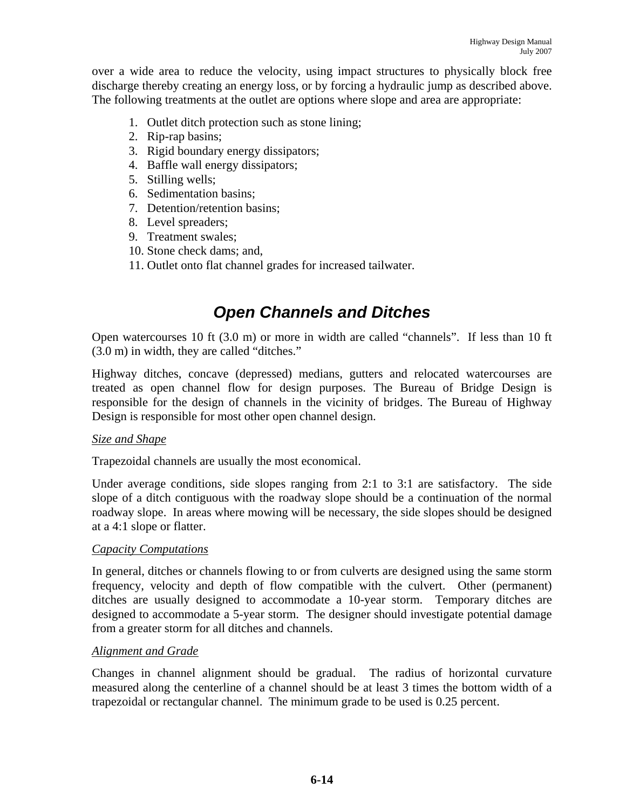over a wide area to reduce the velocity, using impact structures to physically block free discharge thereby creating an energy loss, or by forcing a hydraulic jump as described above. The following treatments at the outlet are options where slope and area are appropriate:

- 1. Outlet ditch protection such as stone lining;
- 2. Rip-rap basins;
- 3. Rigid boundary energy dissipators;
- 4. Baffle wall energy dissipators;
- 5. Stilling wells;
- 6. Sedimentation basins;
- 7. Detention/retention basins;
- 8. Level spreaders;
- 9. Treatment swales;
- 10. Stone check dams; and,
- 11. Outlet onto flat channel grades for increased tailwater.

# *Open Channels and Ditches*

Open watercourses 10 ft (3.0 m) or more in width are called "channels". If less than 10 ft (3.0 m) in width, they are called "ditches."

Highway ditches, concave (depressed) medians, gutters and relocated watercourses are treated as open channel flow for design purposes. The Bureau of Bridge Design is responsible for the design of channels in the vicinity of bridges. The Bureau of Highway Design is responsible for most other open channel design.

#### *Size and Shape*

Trapezoidal channels are usually the most economical.

Under average conditions, side slopes ranging from 2:1 to 3:1 are satisfactory. The side slope of a ditch contiguous with the roadway slope should be a continuation of the normal roadway slope. In areas where mowing will be necessary, the side slopes should be designed at a 4:1 slope or flatter.

#### *Capacity Computations*

In general, ditches or channels flowing to or from culverts are designed using the same storm frequency, velocity and depth of flow compatible with the culvert. Other (permanent) ditches are usually designed to accommodate a 10-year storm. Temporary ditches are designed to accommodate a 5-year storm. The designer should investigate potential damage from a greater storm for all ditches and channels.

#### *Alignment and Grade*

Changes in channel alignment should be gradual. The radius of horizontal curvature measured along the centerline of a channel should be at least 3 times the bottom width of a trapezoidal or rectangular channel. The minimum grade to be used is 0.25 percent.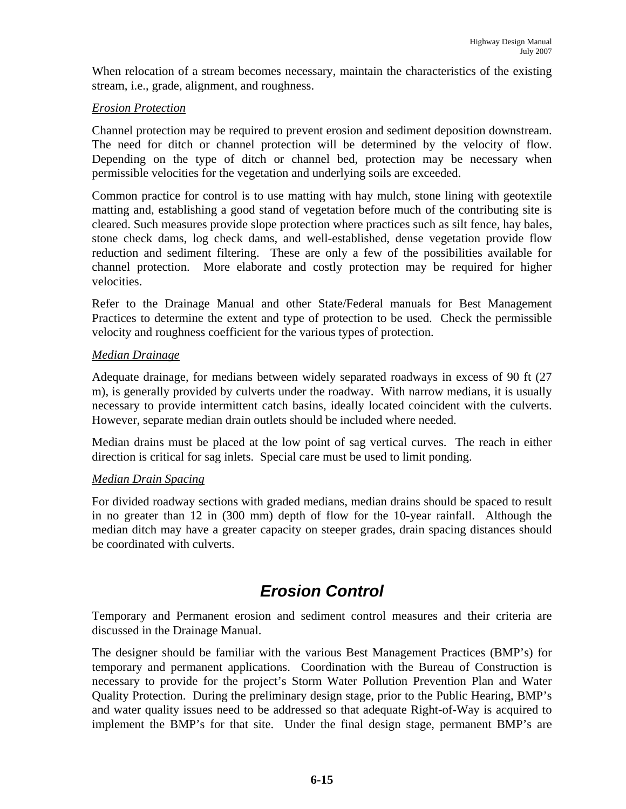When relocation of a stream becomes necessary, maintain the characteristics of the existing stream, i.e., grade, alignment, and roughness.

#### *Erosion Protection*

Channel protection may be required to prevent erosion and sediment deposition downstream. The need for ditch or channel protection will be determined by the velocity of flow. Depending on the type of ditch or channel bed, protection may be necessary when permissible velocities for the vegetation and underlying soils are exceeded.

Common practice for control is to use matting with hay mulch, stone lining with geotextile matting and, establishing a good stand of vegetation before much of the contributing site is cleared. Such measures provide slope protection where practices such as silt fence, hay bales, stone check dams, log check dams, and well-established, dense vegetation provide flow reduction and sediment filtering. These are only a few of the possibilities available for channel protection. More elaborate and costly protection may be required for higher velocities.

Refer to the Drainage Manual and other State/Federal manuals for Best Management Practices to determine the extent and type of protection to be used. Check the permissible velocity and roughness coefficient for the various types of protection.

#### *Median Drainage*

Adequate drainage, for medians between widely separated roadways in excess of 90 ft (27 m), is generally provided by culverts under the roadway. With narrow medians, it is usually necessary to provide intermittent catch basins, ideally located coincident with the culverts. However, separate median drain outlets should be included where needed.

Median drains must be placed at the low point of sag vertical curves. The reach in either direction is critical for sag inlets. Special care must be used to limit ponding.

#### *Median Drain Spacing*

For divided roadway sections with graded medians, median drains should be spaced to result in no greater than 12 in (300 mm) depth of flow for the 10-year rainfall. Although the median ditch may have a greater capacity on steeper grades, drain spacing distances should be coordinated with culverts.

### *Erosion Control*

Temporary and Permanent erosion and sediment control measures and their criteria are discussed in the Drainage Manual.

The designer should be familiar with the various Best Management Practices (BMP's) for temporary and permanent applications. Coordination with the Bureau of Construction is necessary to provide for the project's Storm Water Pollution Prevention Plan and Water Quality Protection. During the preliminary design stage, prior to the Public Hearing, BMP's and water quality issues need to be addressed so that adequate Right-of-Way is acquired to implement the BMP's for that site. Under the final design stage, permanent BMP's are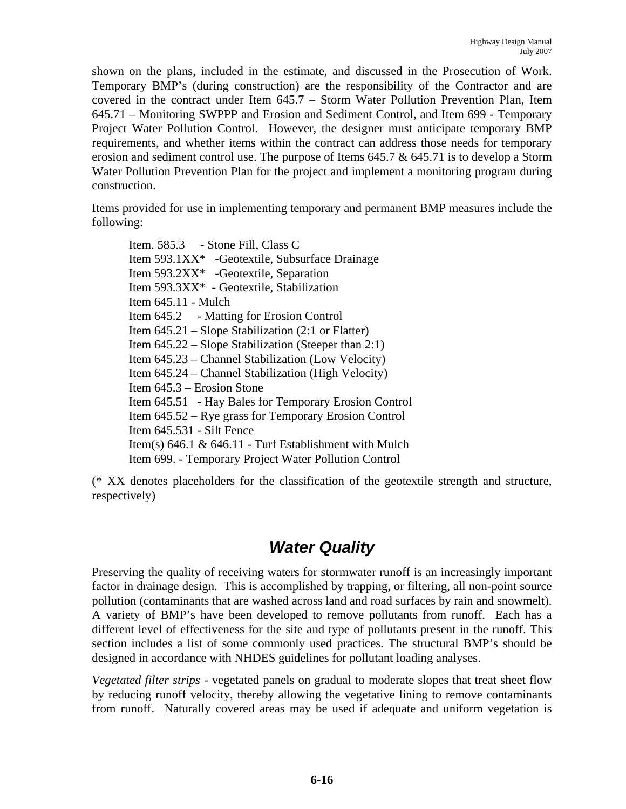shown on the plans, included in the estimate, and discussed in the Prosecution of Work. Temporary BMP's (during construction) are the responsibility of the Contractor and are covered in the contract under Item 645.7 – Storm Water Pollution Prevention Plan, Item 645.71 – Monitoring SWPPP and Erosion and Sediment Control, and Item 699 - Temporary Project Water Pollution Control. However, the designer must anticipate temporary BMP requirements, and whether items within the contract can address those needs for temporary erosion and sediment control use. The purpose of Items  $645.7 \& 645.71$  is to develop a Storm Water Pollution Prevention Plan for the project and implement a monitoring program during construction.

Items provided for use in implementing temporary and permanent BMP measures include the following:

Item. 585.3 - Stone Fill, Class C Item 593.1XX\* -Geotextile, Subsurface Drainage Item 593.2XX\* -Geotextile, Separation Item 593.3XX\* - Geotextile, Stabilization Item 645.11 - Mulch Item 645.2 - Matting for Erosion Control Item 645.21 – Slope Stabilization (2:1 or Flatter) Item 645.22 – Slope Stabilization (Steeper than 2:1) Item 645.23 – Channel Stabilization (Low Velocity) Item 645.24 – Channel Stabilization (High Velocity) Item 645.3 – Erosion Stone Item 645.51 - Hay Bales for Temporary Erosion Control Item 645.52 – Rye grass for Temporary Erosion Control Item 645.531 - Silt Fence Item(s)  $646.1 \& 646.11$  - Turf Establishment with Mulch Item 699. - Temporary Project Water Pollution Control

(\* XX denotes placeholders for the classification of the geotextile strength and structure, respectively)

### *Water Quality*

Preserving the quality of receiving waters for stormwater runoff is an increasingly important factor in drainage design. This is accomplished by trapping, or filtering, all non-point source pollution (contaminants that are washed across land and road surfaces by rain and snowmelt). A variety of BMP's have been developed to remove pollutants from runoff. Each has a different level of effectiveness for the site and type of pollutants present in the runoff. This section includes a list of some commonly used practices. The structural BMP's should be designed in accordance with NHDES guidelines for pollutant loading analyses.

*Vegetated filter strips* - vegetated panels on gradual to moderate slopes that treat sheet flow by reducing runoff velocity, thereby allowing the vegetative lining to remove contaminants from runoff. Naturally covered areas may be used if adequate and uniform vegetation is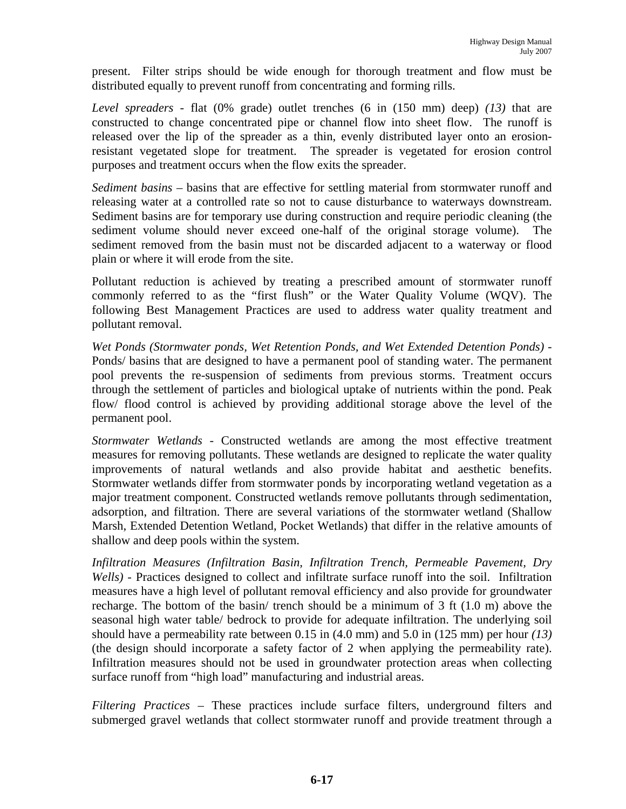present. Filter strips should be wide enough for thorough treatment and flow must be distributed equally to prevent runoff from concentrating and forming rills.

*Level spreaders* - flat (0% grade) outlet trenches (6 in (150 mm) deep) *(13)* that are constructed to change concentrated pipe or channel flow into sheet flow. The runoff is released over the lip of the spreader as a thin, evenly distributed layer onto an erosionresistant vegetated slope for treatment. The spreader is vegetated for erosion control purposes and treatment occurs when the flow exits the spreader.

*Sediment basins* – basins that are effective for settling material from stormwater runoff and releasing water at a controlled rate so not to cause disturbance to waterways downstream. Sediment basins are for temporary use during construction and require periodic cleaning (the sediment volume should never exceed one-half of the original storage volume). The sediment removed from the basin must not be discarded adjacent to a waterway or flood plain or where it will erode from the site.

Pollutant reduction is achieved by treating a prescribed amount of stormwater runoff commonly referred to as the "first flush" or the Water Quality Volume (WQV). The following Best Management Practices are used to address water quality treatment and pollutant removal.

*Wet Ponds (Stormwater ponds, Wet Retention Ponds, and Wet Extended Detention Ponds) -*  Ponds/ basins that are designed to have a permanent pool of standing water. The permanent pool prevents the re-suspension of sediments from previous storms. Treatment occurs through the settlement of particles and biological uptake of nutrients within the pond. Peak flow/ flood control is achieved by providing additional storage above the level of the permanent pool.

*Stormwater Wetlands* - Constructed wetlands are among the most effective treatment measures for removing pollutants. These wetlands are designed to replicate the water quality improvements of natural wetlands and also provide habitat and aesthetic benefits. Stormwater wetlands differ from stormwater ponds by incorporating wetland vegetation as a major treatment component. Constructed wetlands remove pollutants through sedimentation, adsorption, and filtration. There are several variations of the stormwater wetland (Shallow Marsh, Extended Detention Wetland, Pocket Wetlands) that differ in the relative amounts of shallow and deep pools within the system.

*Infiltration Measures (Infiltration Basin, Infiltration Trench, Permeable Pavement, Dry Wells)* - Practices designed to collect and infiltrate surface runoff into the soil. Infiltration measures have a high level of pollutant removal efficiency and also provide for groundwater recharge. The bottom of the basin/ trench should be a minimum of 3 ft (1.0 m) above the seasonal high water table/ bedrock to provide for adequate infiltration. The underlying soil should have a permeability rate between 0.15 in (4.0 mm) and 5.0 in (125 mm) per hour *(13)* (the design should incorporate a safety factor of 2 when applying the permeability rate). Infiltration measures should not be used in groundwater protection areas when collecting surface runoff from "high load" manufacturing and industrial areas.

*Filtering Practices* – These practices include surface filters, underground filters and submerged gravel wetlands that collect stormwater runoff and provide treatment through a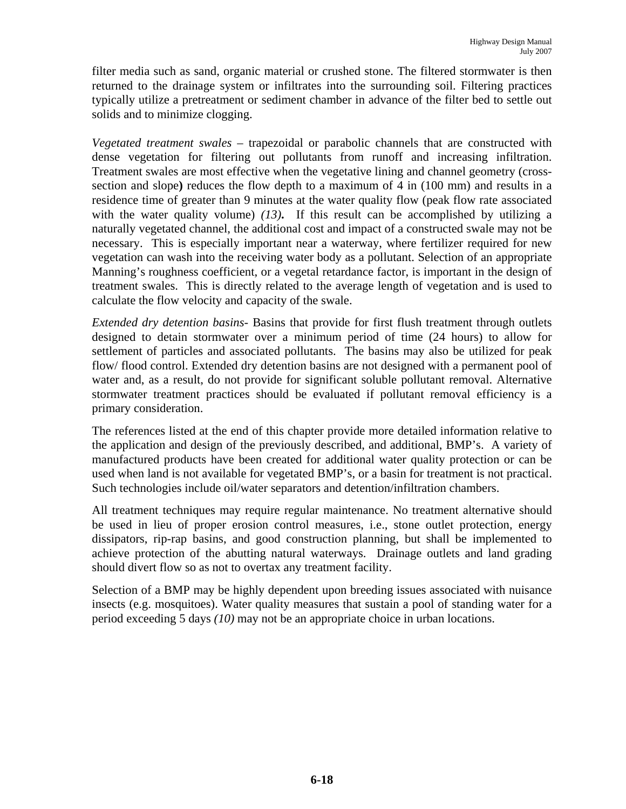filter media such as sand, organic material or crushed stone. The filtered stormwater is then returned to the drainage system or infiltrates into the surrounding soil. Filtering practices typically utilize a pretreatment or sediment chamber in advance of the filter bed to settle out solids and to minimize clogging.

*Vegetated treatment swales* – trapezoidal or parabolic channels that are constructed with dense vegetation for filtering out pollutants from runoff and increasing infiltration. Treatment swales are most effective when the vegetative lining and channel geometry (crosssection and slope**)** reduces the flow depth to a maximum of 4 in (100 mm) and results in a residence time of greater than 9 minutes at the water quality flow (peak flow rate associated with the water quality volume) *(13)***.** If this result can be accomplished by utilizing a naturally vegetated channel, the additional cost and impact of a constructed swale may not be necessary. This is especially important near a waterway, where fertilizer required for new vegetation can wash into the receiving water body as a pollutant. Selection of an appropriate Manning's roughness coefficient, or a vegetal retardance factor, is important in the design of treatment swales. This is directly related to the average length of vegetation and is used to calculate the flow velocity and capacity of the swale.

*Extended dry detention basins-* Basins that provide for first flush treatment through outlets designed to detain stormwater over a minimum period of time (24 hours) to allow for settlement of particles and associated pollutants. The basins may also be utilized for peak flow/flood control. Extended dry detention basins are not designed with a permanent pool of water and, as a result, do not provide for significant soluble pollutant removal. Alternative stormwater treatment practices should be evaluated if pollutant removal efficiency is a primary consideration.

The references listed at the end of this chapter provide more detailed information relative to the application and design of the previously described, and additional, BMP's. A variety of manufactured products have been created for additional water quality protection or can be used when land is not available for vegetated BMP's, or a basin for treatment is not practical. Such technologies include oil/water separators and detention/infiltration chambers.

All treatment techniques may require regular maintenance. No treatment alternative should be used in lieu of proper erosion control measures, i.e., stone outlet protection, energy dissipators, rip-rap basins, and good construction planning, but shall be implemented to achieve protection of the abutting natural waterways. Drainage outlets and land grading should divert flow so as not to overtax any treatment facility.

Selection of a BMP may be highly dependent upon breeding issues associated with nuisance insects (e.g. mosquitoes). Water quality measures that sustain a pool of standing water for a period exceeding 5 days *(10)* may not be an appropriate choice in urban locations.